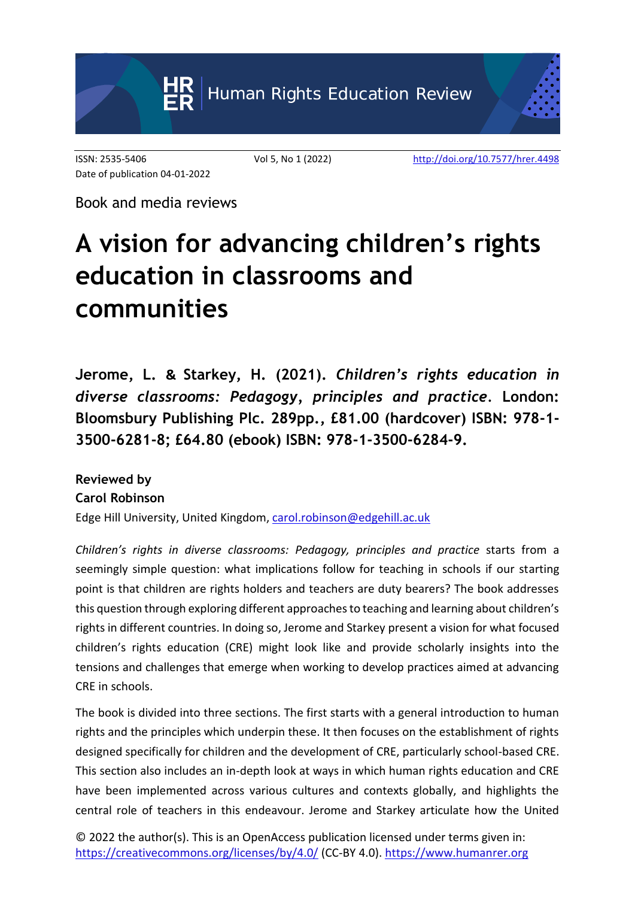

Date of publication 04-01-2022

ISSN: 2535-5406 Vol 5, No 1 (2022) <http://doi.org/10.7577/hrer.4498>

Book and media reviews

## **A vision for advancing children's rights education in classrooms and communities**

**Jerome, L. & Starkey, H. (2021).** *Children's rights education in diverse classrooms: Pedagogy, principles and practice.* **London: Bloomsbury Publishing Plc. 289pp., £81.00 (hardcover) ISBN: 978-1- 3500-6281-8; £64.80 (ebook) ISBN: 978-1-3500-6284-9.**

## **Reviewed by Carol Robinson**

Edge Hill University, United Kingdom, [carol.robinson@edgehill.ac.uk](mailto:carol.robinson@edgehill.ac.uk)

*Children's rights in diverse classrooms: Pedagogy, principles and practice* starts from a seemingly simple question: what implications follow for teaching in schools if our starting point is that children are rights holders and teachers are duty bearers? The book addresses this question through exploring different approaches to teaching and learning about children's rights in different countries. In doing so, Jerome and Starkey present a vision for what focused children's rights education (CRE) might look like and provide scholarly insights into the tensions and challenges that emerge when working to develop practices aimed at advancing CRE in schools.

The book is divided into three sections. The first starts with a general introduction to human rights and the principles which underpin these. It then focuses on the establishment of rights designed specifically for children and the development of CRE, particularly school-based CRE. This section also includes an in-depth look at ways in which human rights education and CRE have been implemented across various cultures and contexts globally, and highlights the central role of teachers in this endeavour. Jerome and Starkey articulate how the United

© 2022 the author(s). This is an OpenAccess publication licensed under terms given in: <https://creativecommons.org/licenses/by/4.0/> (CC-BY 4.0). [https://www.humanrer.org](https://www.humanrer.org/)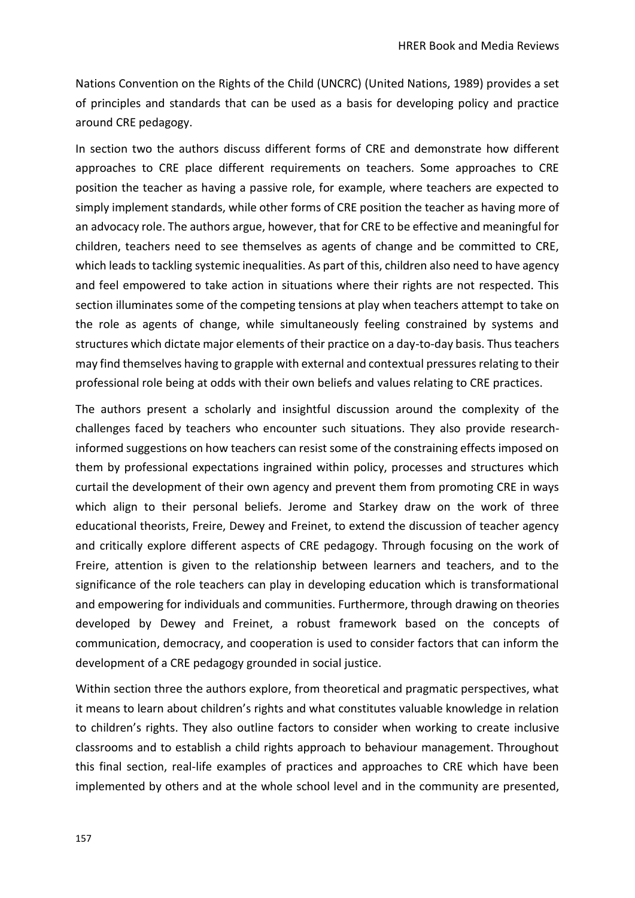Nations Convention on the Rights of the Child (UNCRC) (United Nations, 1989) provides a set of principles and standards that can be used as a basis for developing policy and practice around CRE pedagogy.

In section two the authors discuss different forms of CRE and demonstrate how different approaches to CRE place different requirements on teachers. Some approaches to CRE position the teacher as having a passive role, for example, where teachers are expected to simply implement standards, while other forms of CRE position the teacher as having more of an advocacy role. The authors argue, however, that for CRE to be effective and meaningful for children, teachers need to see themselves as agents of change and be committed to CRE, which leads to tackling systemic inequalities. As part of this, children also need to have agency and feel empowered to take action in situations where their rights are not respected. This section illuminates some of the competing tensions at play when teachers attempt to take on the role as agents of change, while simultaneously feeling constrained by systems and structures which dictate major elements of their practice on a day-to-day basis. Thus teachers may find themselves having to grapple with external and contextual pressures relating to their professional role being at odds with their own beliefs and values relating to CRE practices.

The authors present a scholarly and insightful discussion around the complexity of the challenges faced by teachers who encounter such situations. They also provide researchinformed suggestions on how teachers can resist some of the constraining effects imposed on them by professional expectations ingrained within policy, processes and structures which curtail the development of their own agency and prevent them from promoting CRE in ways which align to their personal beliefs. Jerome and Starkey draw on the work of three educational theorists, Freire, Dewey and Freinet, to extend the discussion of teacher agency and critically explore different aspects of CRE pedagogy. Through focusing on the work of Freire, attention is given to the relationship between learners and teachers, and to the significance of the role teachers can play in developing education which is transformational and empowering for individuals and communities. Furthermore, through drawing on theories developed by Dewey and Freinet, a robust framework based on the concepts of communication, democracy, and cooperation is used to consider factors that can inform the development of a CRE pedagogy grounded in social justice.

Within section three the authors explore, from theoretical and pragmatic perspectives, what it means to learn about children's rights and what constitutes valuable knowledge in relation to children's rights. They also outline factors to consider when working to create inclusive classrooms and to establish a child rights approach to behaviour management. Throughout this final section, real-life examples of practices and approaches to CRE which have been implemented by others and at the whole school level and in the community are presented,